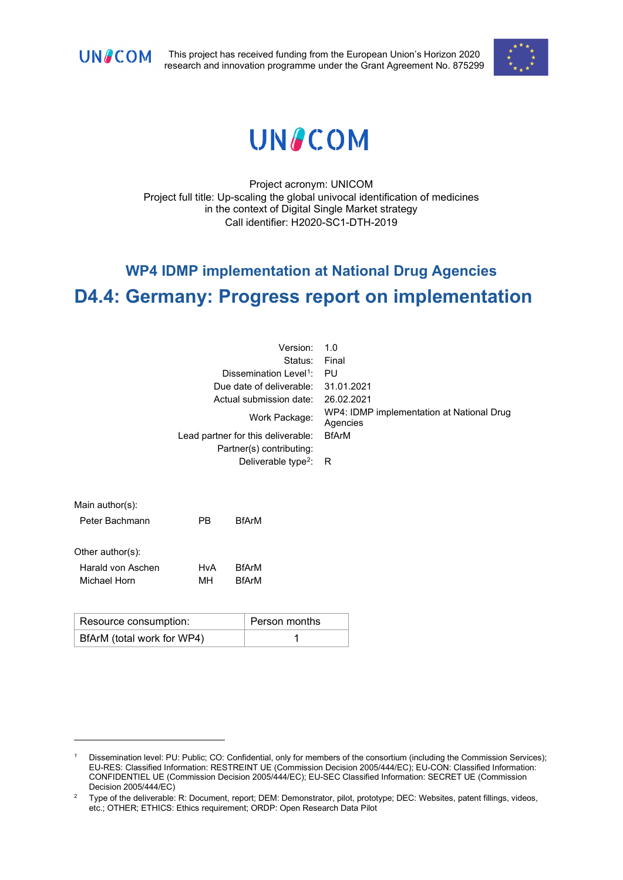

This project has received funding from the European Union's Horizon 2020 research and innovation programme under the Grant Agreement No. 875299



# **UNACOM**

Project acronym: UNICOM Project full title: Up-scaling the global univocal identification of medicines in the context of Digital Single Market strategy Call identifier: H2020-SC1-DTH-2019

## **WP4 IDMP implementation at National Drug Agencies D4.4: Germany: Progress report on implementation**

| Version:                           | 1.0                                                   |
|------------------------------------|-------------------------------------------------------|
| Status:                            | Final                                                 |
| Dissemination Level <sup>1</sup> : | PU                                                    |
| Due date of deliverable:           | 31.01.2021                                            |
| Actual submission date:            | 26.02.2021                                            |
| Work Package:                      | WP4: IDMP implementation at National Drug<br>Agencies |
| Lead partner for this deliverable: | <b>BfArM</b>                                          |
| Partner(s) contributing:           |                                                       |
| Deliverable type <sup>2</sup> : R  |                                                       |
|                                    |                                                       |
|                                    |                                                       |

| $N$ alli autions). |           |              |  |
|--------------------|-----------|--------------|--|
| Peter Bachmann     | <b>PR</b> | <b>BfArM</b> |  |
| Other author(s):   |           |              |  |
| Harald von Aschen  | HvA       | <b>BfArM</b> |  |
| Michael Horn       | мн        | <b>BfArM</b> |  |

 $Main$  author(a):

| Resource consumption:      | Person months |
|----------------------------|---------------|
| BfArM (total work for WP4) |               |

<span id="page-0-0"></span><sup>&</sup>lt;sup>1</sup> Dissemination level: PU: Public; CO: Confidential, only for members of the consortium (including the Commission Services); EU-RES: Classified Information: RESTREINT UE (Commission Decision 2005/444/EC); EU-CON: Classified Information: CONFIDENTIEL UE (Commission Decision 2005/444/EC); EU-SEC Classified Information: SECRET UE (Commission Decision 2005/444/EC)

<span id="page-0-1"></span><sup>&</sup>lt;sup>2</sup> Type of the deliverable: R: Document, report; DEM: Demonstrator, pilot, prototype; DEC: Websites, patent fillings, videos, etc.; OTHER; ETHICS: Ethics requirement; ORDP: Open Research Data Pilot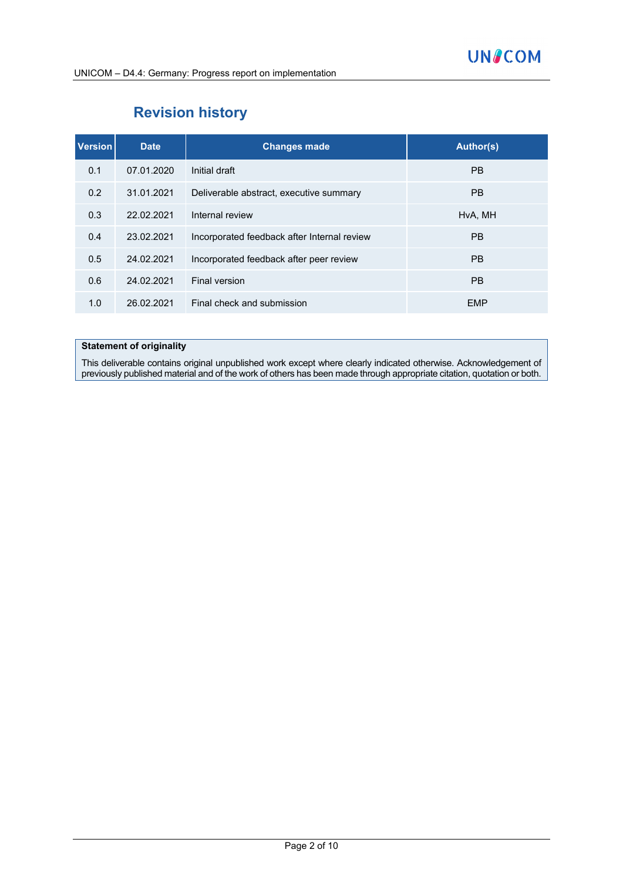## **Revision history**

| <b>Version</b> | <b>Date</b> | <b>Changes made</b>                         | Author(s)  |
|----------------|-------------|---------------------------------------------|------------|
| 0.1            | 07.01.2020  | Initial draft                               | <b>PB</b>  |
| 0.2            | 31.01.2021  | Deliverable abstract, executive summary     | <b>PB</b>  |
| 0.3            | 22.02.2021  | Internal review                             | HvA, MH    |
| 0.4            | 23.02.2021  | Incorporated feedback after Internal review | <b>PB</b>  |
| 0.5            | 24.02.2021  | Incorporated feedback after peer review     | <b>PB</b>  |
| 0.6            | 24.02.2021  | Final version                               | <b>PB</b>  |
| 1.0            | 26.02.2021  | Final check and submission                  | <b>EMP</b> |

#### **Statement of originality**

This deliverable contains original unpublished work except where clearly indicated otherwise. Acknowledgement of previously published material and of the work of others has been made through appropriate citation, quotation or both.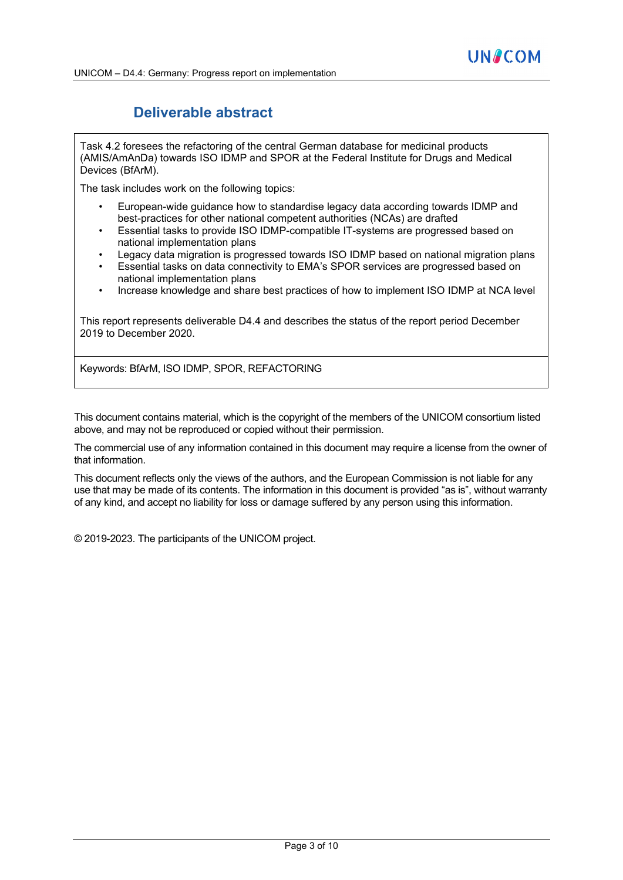## **Deliverable abstract**

Task 4.2 foresees the refactoring of the central German database for medicinal products (AMIS/AmAnDa) towards ISO IDMP and SPOR at the Federal Institute for Drugs and Medical Devices (BfArM).

The task includes work on the following topics:

- European-wide guidance how to standardise legacy data according towards IDMP and best-practices for other national competent authorities (NCAs) are drafted
- Essential tasks to provide ISO IDMP-compatible IT-systems are progressed based on national implementation plans
- Legacy data migration is progressed towards ISO IDMP based on national migration plans
- Essential tasks on data connectivity to EMA's SPOR services are progressed based on national implementation plans
- Increase knowledge and share best practices of how to implement ISO IDMP at NCA level

This report represents deliverable D4.4 and describes the status of the report period December 2019 to December 2020.

Keywords: BfArM, ISO IDMP, SPOR, REFACTORING

This document contains material, which is the copyright of the members of the UNICOM consortium listed above, and may not be reproduced or copied without their permission.

The commercial use of any information contained in this document may require a license from the owner of that information.

This document reflects only the views of the authors, and the European Commission is not liable for any use that may be made of its contents. The information in this document is provided "as is", without warranty of any kind, and accept no liability for loss or damage suffered by any person using this information.

© 2019-2023. The participants of the UNICOM project.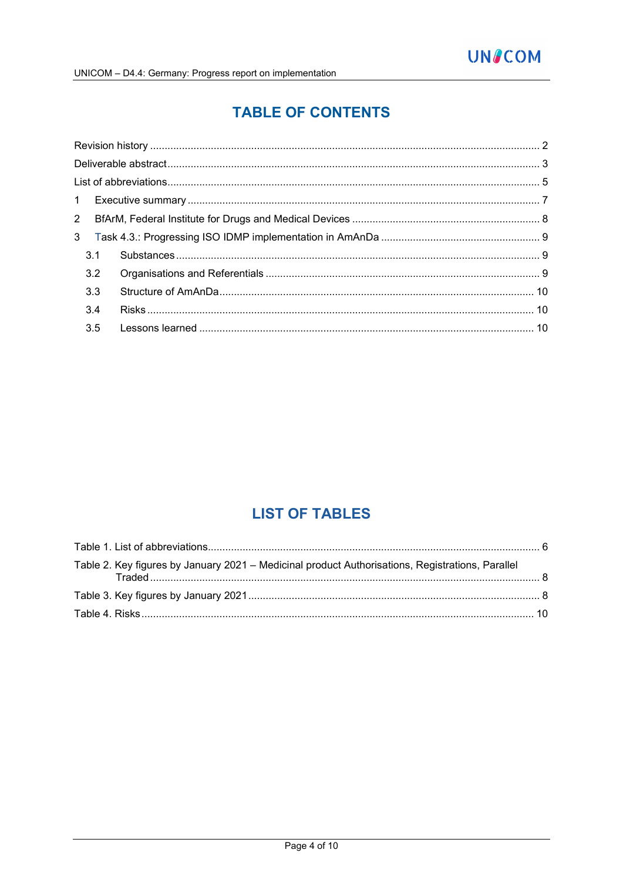## **TABLE OF CONTENTS**

| 3.1 |  |
|-----|--|
| 3.2 |  |
| 3.3 |  |
| 3.4 |  |
| 3.5 |  |

## **LIST OF TABLES**

| Table 2. Key figures by January 2021 – Medicinal product Authorisations, Registrations, Parallel |  |
|--------------------------------------------------------------------------------------------------|--|
|                                                                                                  |  |
|                                                                                                  |  |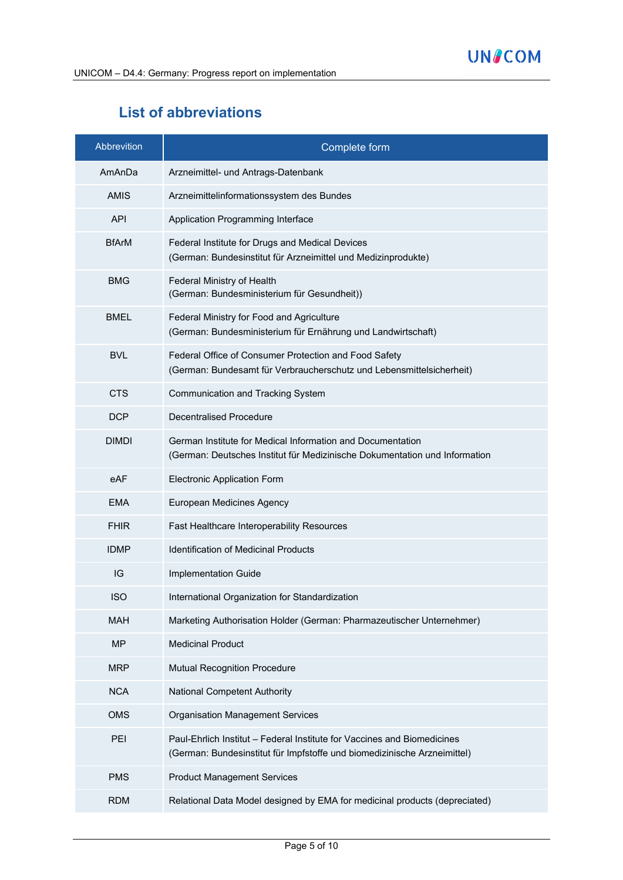## **List of abbreviations**

| Abbrevition  | Complete form                                                                                                                                       |
|--------------|-----------------------------------------------------------------------------------------------------------------------------------------------------|
| AmAnDa       | Arzneimittel- und Antrags-Datenbank                                                                                                                 |
| <b>AMIS</b>  | Arzneimittelinformationssystem des Bundes                                                                                                           |
| <b>API</b>   | Application Programming Interface                                                                                                                   |
| <b>BfArM</b> | Federal Institute for Drugs and Medical Devices<br>(German: Bundesinstitut für Arzneimittel und Medizinprodukte)                                    |
| <b>BMG</b>   | Federal Ministry of Health<br>(German: Bundesministerium für Gesundheit))                                                                           |
| <b>BMEL</b>  | Federal Ministry for Food and Agriculture<br>(German: Bundesministerium für Ernährung und Landwirtschaft)                                           |
| <b>BVL</b>   | Federal Office of Consumer Protection and Food Safety<br>(German: Bundesamt für Verbraucherschutz und Lebensmittelsicherheit)                       |
| <b>CTS</b>   | Communication and Tracking System                                                                                                                   |
| <b>DCP</b>   | <b>Decentralised Procedure</b>                                                                                                                      |
| <b>DIMDI</b> | German Institute for Medical Information and Documentation<br>(German: Deutsches Institut für Medizinische Dokumentation und Information            |
| eAF          | <b>Electronic Application Form</b>                                                                                                                  |
| <b>EMA</b>   | European Medicines Agency                                                                                                                           |
| <b>FHIR</b>  | Fast Healthcare Interoperability Resources                                                                                                          |
| <b>IDMP</b>  | <b>Identification of Medicinal Products</b>                                                                                                         |
| IG           | Implementation Guide                                                                                                                                |
| <b>ISO</b>   | International Organization for Standardization                                                                                                      |
| <b>MAH</b>   | Marketing Authorisation Holder (German: Pharmazeutischer Unternehmer)                                                                               |
| <b>MP</b>    | <b>Medicinal Product</b>                                                                                                                            |
| <b>MRP</b>   | <b>Mutual Recognition Procedure</b>                                                                                                                 |
| <b>NCA</b>   | <b>National Competent Authority</b>                                                                                                                 |
| <b>OMS</b>   | <b>Organisation Management Services</b>                                                                                                             |
| PEI          | Paul-Ehrlich Institut - Federal Institute for Vaccines and Biomedicines<br>(German: Bundesinstitut für Impfstoffe und biomedizinische Arzneimittel) |
| <b>PMS</b>   | <b>Product Management Services</b>                                                                                                                  |
| <b>RDM</b>   | Relational Data Model designed by EMA for medicinal products (depreciated)                                                                          |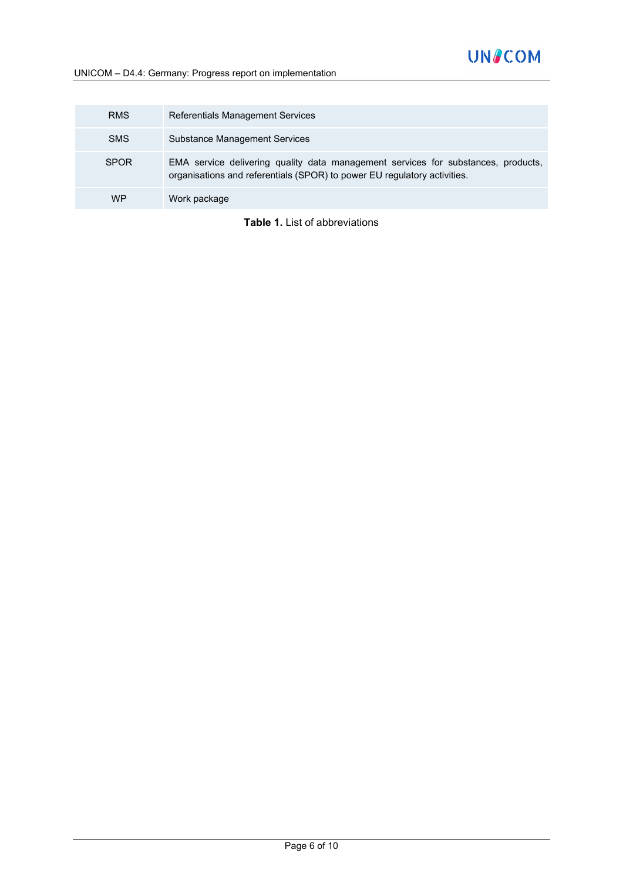### UNICOM – D4.4: Germany: Progress report on implementation

| <b>RMS</b>  | Referentials Management Services                                                                                                                              |
|-------------|---------------------------------------------------------------------------------------------------------------------------------------------------------------|
| <b>SMS</b>  | Substance Management Services                                                                                                                                 |
| <b>SPOR</b> | EMA service delivering quality data management services for substances, products,<br>organisations and referentials (SPOR) to power EU regulatory activities. |
| <b>WP</b>   | Work package                                                                                                                                                  |

**Table 1.** List of abbreviations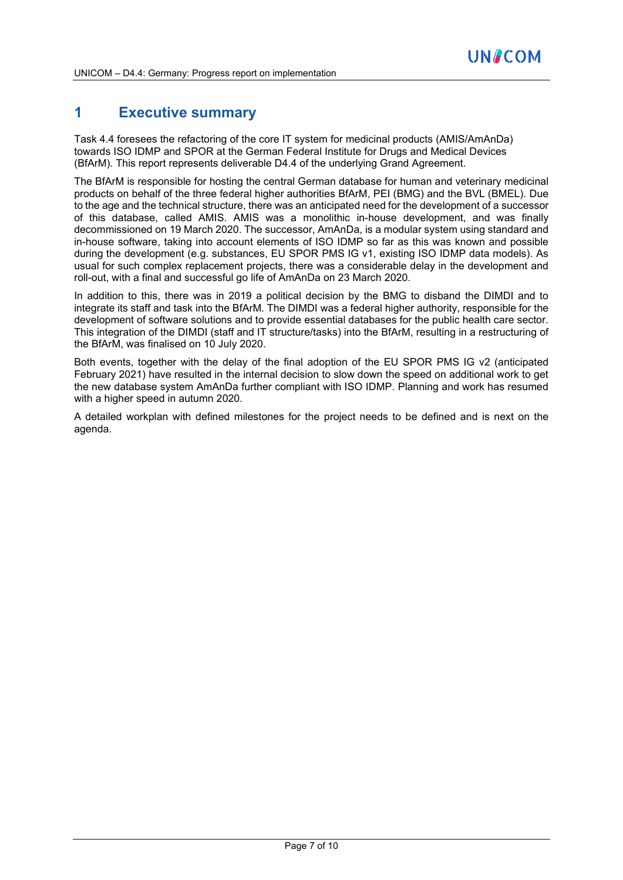## **1 Executive summary**

Task 4.4 foresees the refactoring of the core IT system for medicinal products (AMIS/AmAnDa) towards ISO IDMP and SPOR at the German Federal Institute for Drugs and Medical Devices (BfArM). This report represents deliverable D4.4 of the underlying Grand Agreement.

The BfArM is responsible for hosting the central German database for human and veterinary medicinal products on behalf of the three federal higher authorities BfArM, PEI (BMG) and the BVL (BMEL). Due to the age and the technical structure, there was an anticipated need for the development of a successor of this database, called AMIS. AMIS was a monolithic in-house development, and was finally decommissioned on 19 March 2020. The successor, AmAnDa, is a modular system using standard and in-house software, taking into account elements of ISO IDMP so far as this was known and possible during the development (e.g. substances, EU SPOR PMS IG v1, existing ISO IDMP data models). As usual for such complex replacement projects, there was a considerable delay in the development and roll-out, with a final and successful go life of AmAnDa on 23 March 2020.

In addition to this, there was in 2019 a political decision by the BMG to disband the DIMDI and to integrate its staff and task into the BfArM. The DIMDI was a federal higher authority, responsible for the development of software solutions and to provide essential databases for the public health care sector. This integration of the DIMDI (staff and IT structure/tasks) into the BfArM, resulting in a restructuring of the BfArM, was finalised on 10 July 2020.

Both events, together with the delay of the final adoption of the EU SPOR PMS IG v2 (anticipated February 2021) have resulted in the internal decision to slow down the speed on additional work to get the new database system AmAnDa further compliant with ISO IDMP. Planning and work has resumed with a higher speed in autumn 2020.

A detailed workplan with defined milestones for the project needs to be defined and is next on the agenda.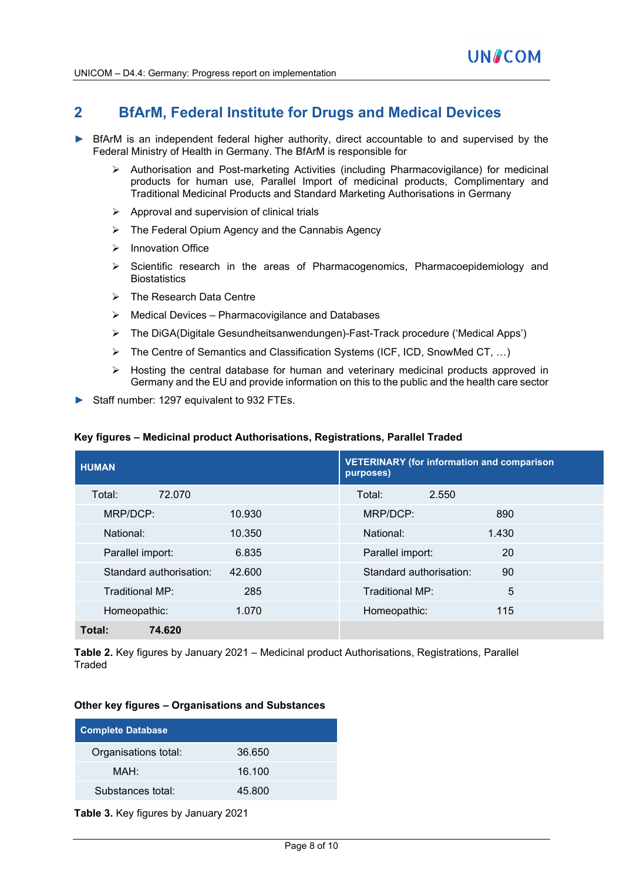## **2 BfArM, Federal Institute for Drugs and Medical Devices**

- BfArM is an independent federal higher authority, direct accountable to and supervised by the Federal Ministry of Health in Germany. The BfArM is responsible for
	- $\triangleright$  Authorisation and Post-marketing Activities (including Pharmacovigilance) for medicinal products for human use, Parallel Import of medicinal products, Complimentary and Traditional Medicinal Products and Standard Marketing Authorisations in Germany
	- $\triangleright$  Approval and supervision of clinical trials
	- The Federal Opium Agency and the Cannabis Agency
	- $\triangleright$  Innovation Office
	- $\triangleright$  Scientific research in the areas of Pharmacogenomics, Pharmacoepidemiology and **Biostatistics**
	- > The Research Data Centre
	- $\triangleright$  Medical Devices Pharmacovigilance and Databases
	- The DiGA(Digitale Gesundheitsanwendungen)-Fast-Track procedure ('Medical Apps')
	- The Centre of Semantics and Classification Systems (ICF, ICD, SnowMed CT, …)
	- $\triangleright$  Hosting the central database for human and veterinary medicinal products approved in Germany and the EU and provide information on this to the public and the health care sector
- Staff number: 1297 equivalent to 932 FTEs.

#### **Key figures – Medicinal product Authorisations, Registrations, Parallel Traded**

| <b>HUMAN</b>            |        | <b>VETERINARY (for information and comparison</b><br>purposes) |       |
|-------------------------|--------|----------------------------------------------------------------|-------|
| Total:<br>72.070        |        | Total:<br>2.550                                                |       |
| MRP/DCP:                | 10.930 | MRP/DCP:                                                       | 890   |
| National:               | 10.350 | National:                                                      | 1.430 |
| Parallel import:        | 6.835  | Parallel import:                                               | 20    |
| Standard authorisation: | 42.600 | Standard authorisation:                                        | 90    |
| Traditional MP:         | 285    | Traditional MP:                                                | 5     |
| Homeopathic:            | 1.070  | Homeopathic:                                                   | 115   |
| Total:<br>74.620        |        |                                                                |       |

**Table 2.** Key figures by January 2021 – Medicinal product Authorisations, Registrations, Parallel Traded

#### **Other key figures – Organisations and Substances**

| <b>Complete Database</b> |        |  |
|--------------------------|--------|--|
| Organisations total:     | 36.650 |  |
| MAH:                     | 16.100 |  |
| Substances total:        | 45.800 |  |

**Table 3.** Key figures by January 2021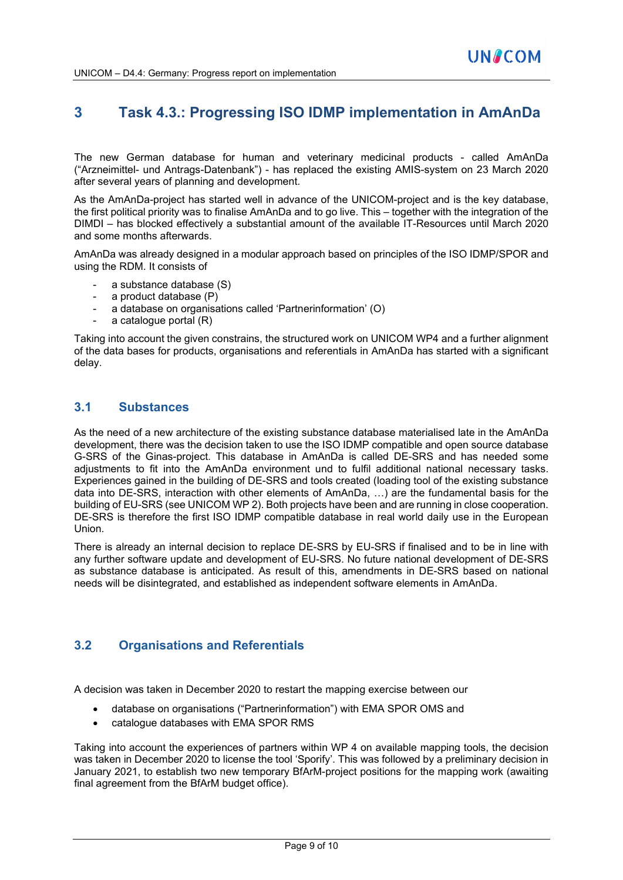## **3 Task 4.3.: Progressing ISO IDMP implementation in AmAnDa**

The new German database for human and veterinary medicinal products - called AmAnDa ("Arzneimittel- und Antrags-Datenbank") - has replaced the existing AMIS-system on 23 March 2020 after several years of planning and development.

As the AmAnDa-project has started well in advance of the UNICOM-project and is the key database, the first political priority was to finalise AmAnDa and to go live. This – together with the integration of the DIMDI – has blocked effectively a substantial amount of the available IT-Resources until March 2020 and some months afterwards.

AmAnDa was already designed in a modular approach based on principles of the ISO IDMP/SPOR and using the RDM. It consists of

- a substance database (S)
- a product database (P)
- a database on organisations called 'Partnerinformation' (O)
- a catalogue portal  $(R)$

Taking into account the given constrains, the structured work on UNICOM WP4 and a further alignment of the data bases for products, organisations and referentials in AmAnDa has started with a significant delay.

### **3.1 Substances**

As the need of a new architecture of the existing substance database materialised late in the AmAnDa development, there was the decision taken to use the ISO IDMP compatible and open source database G-SRS of the Ginas-project. This database in AmAnDa is called DE-SRS and has needed some adjustments to fit into the AmAnDa environment und to fulfil additional national necessary tasks. Experiences gained in the building of DE-SRS and tools created (loading tool of the existing substance data into DE-SRS, interaction with other elements of AmAnDa, …) are the fundamental basis for the building of EU-SRS (see UNICOM WP 2). Both projects have been and are running in close cooperation. DE-SRS is therefore the first ISO IDMP compatible database in real world daily use in the European Union.

There is already an internal decision to replace DE-SRS by EU-SRS if finalised and to be in line with any further software update and development of EU-SRS. No future national development of DE-SRS as substance database is anticipated. As result of this, amendments in DE-SRS based on national needs will be disintegrated, and established as independent software elements in AmAnDa.

### **3.2 Organisations and Referentials**

A decision was taken in December 2020 to restart the mapping exercise between our

- database on organisations ("Partnerinformation") with EMA SPOR OMS and
- catalogue databases with EMA SPOR RMS

Taking into account the experiences of partners within WP 4 on available mapping tools, the decision was taken in December 2020 to license the tool 'Sporify'. This was followed by a preliminary decision in January 2021, to establish two new temporary BfArM-project positions for the mapping work (awaiting final agreement from the BfArM budget office).